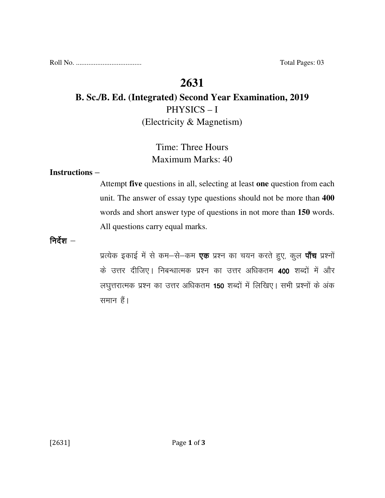Roll No. ..................................... Total Pages: 03

# **2631**

## **B. Sc./B. Ed. (Integrated) Second Year Examination, 2019**  PHYSICS – I (Electricity & Magnetism)

## Time: Three Hours Maximum Marks: 40

#### **Instructions** –

Attempt **five** questions in all, selecting at least **one** question from each unit. The answer of essay type questions should not be more than **400** words and short answer type of questions in not more than **150** words. All questions carry equal marks.

निर्देश $-$ 

प्रत्येक इकाई में से कम-से-कम **एक** प्रश्न का चयन करते हुए, कुल **पाँच** प्रश्नों के उत्तर दीजिए। निबन्धात्मक प्रश्न का उत्तर अधिकतम 400 शब्दों में और लघुत्तरात्मक प्रश्न का उत्तर अधिकतम 150 शब्दों में लिखिए। सभी प्रश्नों के अंक समान हैं।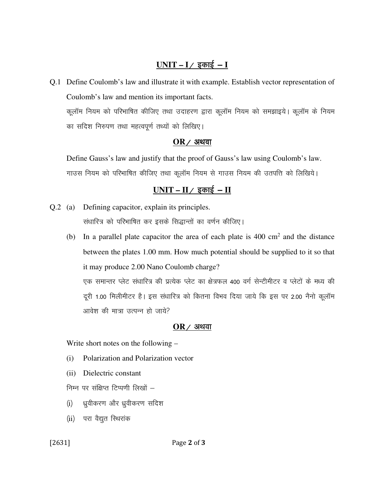## $UNIT - I /$  इकाई - **I**

Q.1 Define Coulomb's law and illustrate it with example. Establish vector representation of Coulomb's law and mention its important facts. कूलॉम नियम को परिभाषित कीजिए तथा उदाहरण द्वारा कूलॉम नियम को समझाइये। कूलॉम के नियम का सदिश निरुपण तथा महत्वपूर्ण तथ्यों को लिखिए।

#### $OR$  / अथवा

 Define Gauss's law and justify that the proof of Gauss's law using Coulomb's law. गाउस नियम को परिभाषित कीजिए तथा कूलॉम नियम से गाउस नियम की उतपत्ति को लिखिये।

## $UNIT - II / \overline{x}$  काई - **II**

- Q.2 (a) Defining capacitor, explain its principles. संधारित्र को परिभाषित कर इसके सिद्धान्तों का वर्णन कीजिए।
	- (b) In a parallel plate capacitor the area of each plate is  $400 \text{ cm}^2$  and the distance between the plates 1.00 mm. How much potential should be supplied to it so that it may produce 2.00 Nano Coulomb charge? एक समान्तर प्लेट संधारित्र की प्रत्येक प्लेट का क्षेत्रफल 400 वर्ग सेन्टीमीटर व प्लेटों के मध्य की दूरी 1.00 मिलीमीटर है। इस संधारित्र को कितना विभव दिया जाये कि इस पर 2.00 नैनो कूलॉम आवेश की मात्रा उत्पन्न हो जाये?

#### $OR$  ⁄ अथवा

Write short notes on the following –

- (i) Polarization and Polarization vector
- (ii) Dielectric constant

निम्न पर संक्षिप्त टिप्पणी लिखों  $-$ 

- (i) ध्रुवीकरण और ध्रुवीकरण सदिश
- (ii) परा वैद्युत स्थिरांक